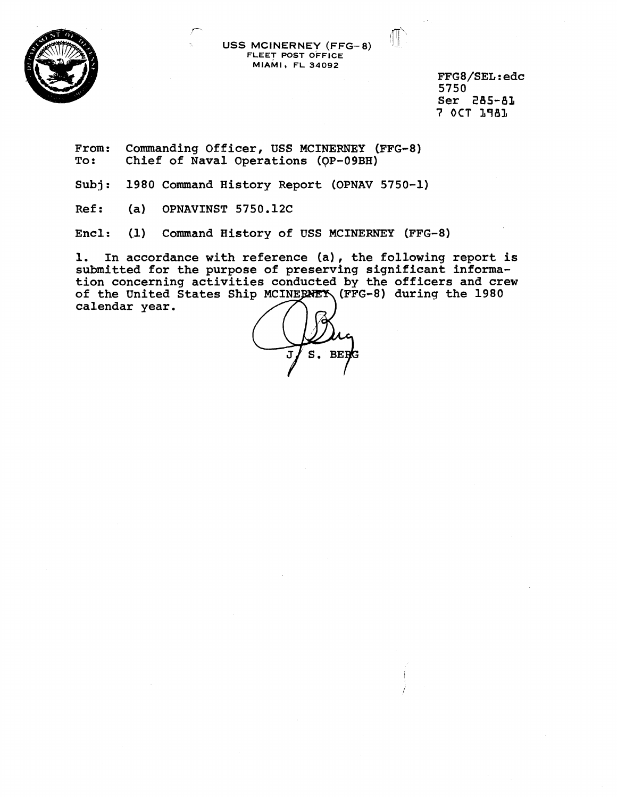

**<sup>P</sup>**,IT' **USS MCINERNEY (FFG-8) FLEET POST OFFICE MIAMI FL 34092** 

> **FFG8/SEL:edc 5750 Ser 285-81 7 OCT 1981**

From: Commanding Officer, USS MCINERNEY (FFG-8)<br>To: Chief of Naval Operations (OP-09BH) **To: Chief of Naval Operations (OP-O9BH)** 

**Subj** : **1980 Command History Report (OPNAV 5750-1)** 

**Ref: (a) OPNAVINST 5750.12C** 

Encl: (1) Command History of USS MCINERNEY (FFG-8)

**1. In accordance with reference (a), the following report is submitted for the purpose of preserving significant informa**tion concerning activities conducted by the officers and crew of the United States Ship MCINERNEY (FFG-8) during the 1980 calendar year.

J  $S.$  BERG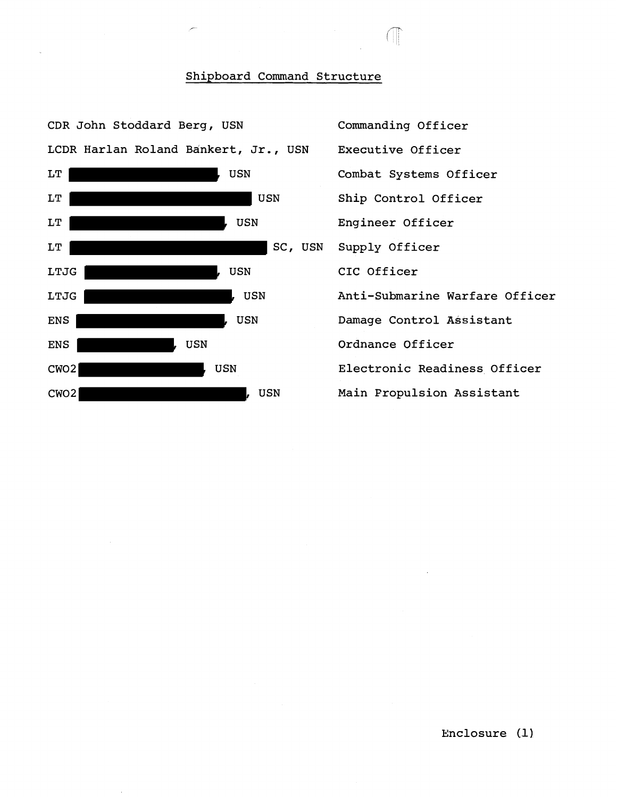## Shipboard Command Structure

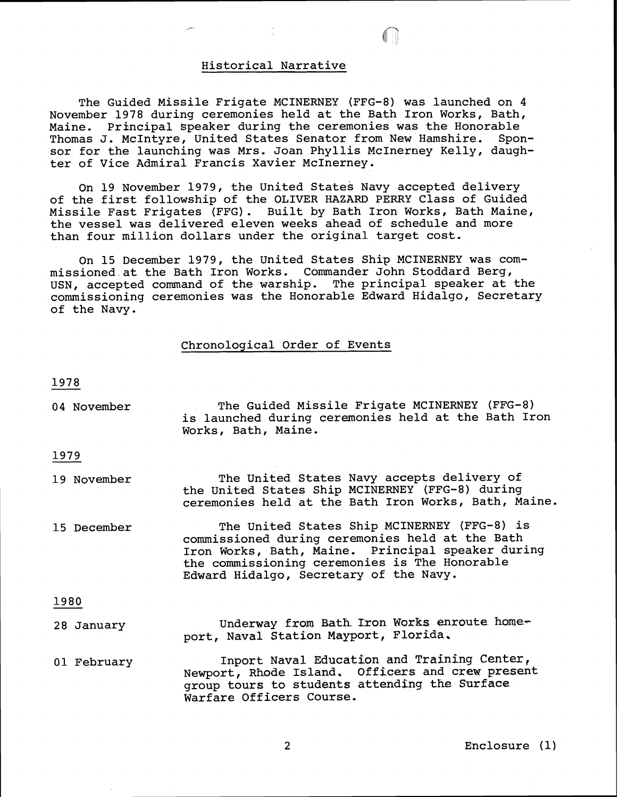## Historical Narrative

The Guided Missile Frigate MCINERNEY (FFG-8) was launched on 4 November 1978 during ceremonies held at the Bath Iron Works, Bath, Maine. Principal speaker during the ceremonies was the Honorable Thomas J. McIntyre, United States Senator from New Hamshire. Sponsor for the launching was Mrs. Joan Phyllis McInerney Kelly, daughter of Vice Admiral Francis Xavier McInerney.

On 19 November 1979, the United States Navy accepted delivery of the first followship of the OLIVER HAZARD PERRY Class of Guided Missile Fast Frigates (FFG). Built by Bath Iron Works, Bath Maine, the vessel was delivered eleven weeks ahead of schedule and more than four million dollars under the original target cost.

On 15 December 1979, the United States Ship MCINERNEY was commissioned at the Bath Iron Works. Commander John Stoddard Berg, USN, accepted command of the warship. The principal speaker at the commissioning ceremonies was the Honorable Edward Hidalgo, Secretary of the Navy.

## Chronological Order of Events

1978

04 November The Guided Missile Frigate MCINERNEY (FFG-8) is launched during ceremonies held at the Bath Iron Works, Bath, Maine.

1979

- 19 November The United States Navy accepts delivery of the United States Ship MCINERNEY (FFG-8) during ceremonies held at the Bath Iron Works, Bath, Maine.
- 15 December The United States Ship MCINERNEY (FFG-8) is commissioned during ceremonies held at the Bath Iron Works, Bath, Maine. Principal speaker during the commissioning ceremonies is The Honorable Edward Hidalgo, Secretary of the Navy.

1980

- 28 January Underway from Bath Tron Works enroute homeport, Naval Station Mayport, Florida.
- 01 February Inport Naval Education and Training Center, Newport, Rhode Island. Officers and crew present group tours to students attending the Surface Warfare Officers Course,

Enclosure (1)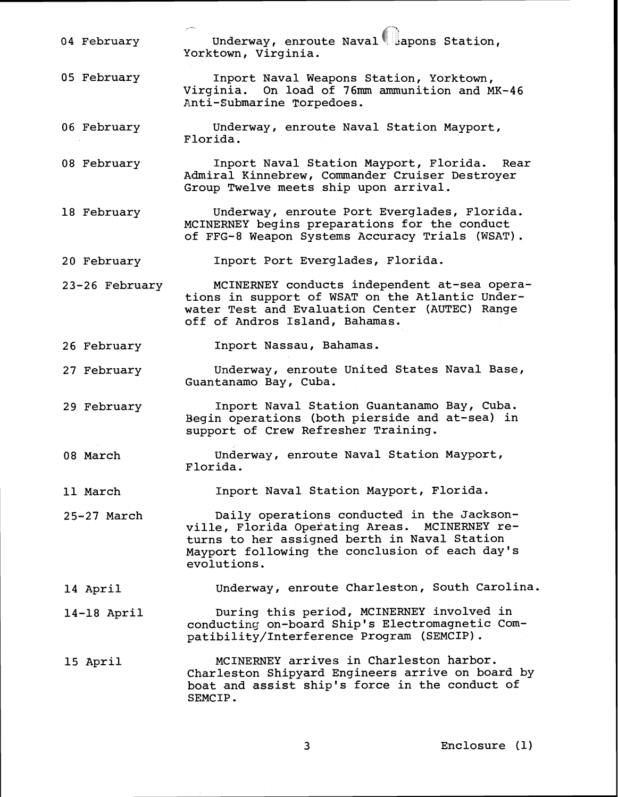, - 04 February  $Underway$ , enroute Naval apons Station, Yorktown, Virginia.

05 February Inport Naval Weapons Station, Yorktown, Virginia. On load of 76mm ammunition and MK-46 Enti-Submarine Torpedoes.

06 February Underway, enroute Naval Station Mayport, Florida.

08 February Inport Naval Station Mayport, Florida. Rear Admiral Kinnebrew, Commander Cruiser Destroyer Group Twelve meets ship upon arrival.

18 February Underway, enroute Port Everglades, Florida. MCINERNEY begins preparations for the conduct of FFG-8 Weapon Systems Accuracy Trials (WSAT).

20 February Inport Port Everglades, Florida.

23-26 February MCINERNEY conducts independent at-sea operations in support of WSAT on the Atlantic Underwater Test and Evaluation Center (AUTEC) Range off of Andros Island, Bahamas.

26 February Inport Nassau, Bahamas.

27 February Underway, enroute United States Naval Base, Guantanamo Bay, Cuba.

29 February Inport Naval Station Guantanamo Bay, Cuba. Begin operations (both pierside and at-sea) in support of Crew Refresher Training.

08 March Underway, enroute Naval Station Mayport, Florida.

11 March Inport Naval Station Mayport, Florida.

25-27 March Daily operations conducted in the Jacksonville, Florida Operating Areas. MCINERNEY returns to her assigned berth in Naval Station Mayport following the conclusion of each day's evolutions.

14 April Underway, enroute Charleston, South Carolina.

14-18 April During this period, MCINERNEY involved in conducting on-board Ship's Electromagnetic Compatibility/Interference Program (SEMCIP).

15 April MCINERNEY arrives in Charleston harbor. Charleston Shipyard Engineers arrive on board by boat and assist ship's force in the conduct of SEMCIP .

Enclosure (1)

3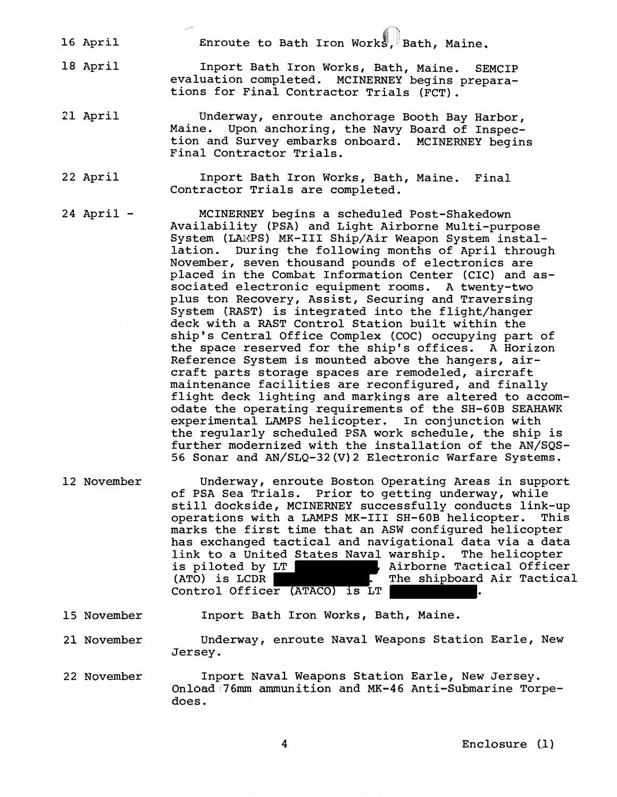16 April Enroute to Bath Iron Works, Bath, Maine.

, -

18 April

Inport Bath Iron Works, Bath, Maine. SEMCIP evaluation completed. MCINERNEY begins preparations for Final Contractor Trials (FCT).

## 21 April Underway, enroute anchorage Booth Bay Harbor,<br>Maine. Upon anchoring, the Navy Board of Inspec-Upon anchoring, the Navy Board of Inspection and Survey embarks onboard. MCINERNEY begins Final Contractor Trials.

22 April Inport Bath Iron Works, Bath, Maine. Final Contractor Trials are completed.

<sup>24</sup>April - MCINERNEY begins a scheduled Post-Shakedown Availability (PSA) and Light Airborne Multi-purpose System (LAMPS) MK-III Ship/Air Weapon System installation. During the following months of April through November, seven thousand pounds of electronics are placed in the Combat Information Center (CIC) and associated electronic equipment rooms. A twenty-two plus ton Recovery, Assist, Securing and Traversing System [RAST) is integrated into the flight/hanger deck with a RAST Control Station built within the ship's Central Office Complex (COC) occupying part of the space reserved for the ship's offices. A Horizon Reference System is mounted above the hangers, aircraft parts storage spaces are remodeled, aircraft maintenance facilities are reconfigured, and finally flight deck lighting and markings are altered to accomodate the operating requirements of the SH-60B SEAHAWK experimental LAMPS helicopter. In conjunction with the regularly scheduled PSA work schedule, the ship is further modernized with the installation of the AN/SQS-56 Sonar and AN/SLQ-32(V)2 Electronic Warfare Systems.

- 12 November Underway, enroute Boston Operating Areas in support of PSA Sea Trials. Prior to getting underway, while still dockside, MCINERNEY successfully conducts link-up<br>operations with a LAMPS MK-III SH-60B helicopter. This operations with a LAMPS MK-III SH-60B helicopter. marks the first time that an ASW configured helicopter has exchanged tactical and navigational data via a data link to a United States Naval warship. The helicopter<br>is piloted by LT **1988**, Airborne Tactical Office: is piloted by LT , airborne Tactical Officer<br>(ATO) is LCDR , The shipboard Air Tactical The shipboard Air Tactical Control Officer (ATACO) is LT .
- 15 November Inport Bath Iron Works, Bath, Maine.
- 21 November Underway, enroute Naval Weapons Station Earle, New Jersey.
- 22 November Inport Naval Weapons Station Earle, New Jersey. Onldad 76mm ammunition and MK-46 Anti-Submarine Torpedoes.